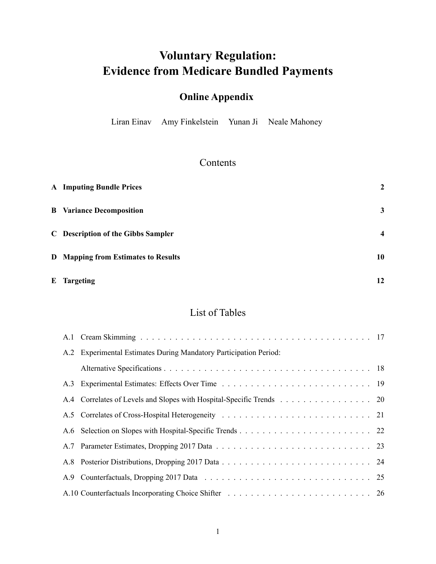# **Voluntary Regulation: Evidence from Medicare Bundled Payments**

## **Online Appendix**

Liran Einav Amy Finkelstein Yunan Ji Neale Mahoney

## Contents

| <b>A</b> Imputing Bundle Prices            | $\mathbf{2}$            |
|--------------------------------------------|-------------------------|
| <b>B</b> Variance Decomposition            | 3                       |
| <b>C</b> Description of the Gibbs Sampler  | $\overline{\mathbf{4}}$ |
| <b>D</b> Mapping from Estimates to Results | 10                      |
| <b>E</b> Targeting                         | 12                      |

### List of Tables

|     | A.2 Experimental Estimates During Mandatory Participation Period:    |  |
|-----|----------------------------------------------------------------------|--|
|     |                                                                      |  |
|     |                                                                      |  |
|     | A.4 Correlates of Levels and Slopes with Hospital-Specific Trends 20 |  |
|     |                                                                      |  |
|     |                                                                      |  |
|     |                                                                      |  |
|     |                                                                      |  |
| A.9 |                                                                      |  |
|     |                                                                      |  |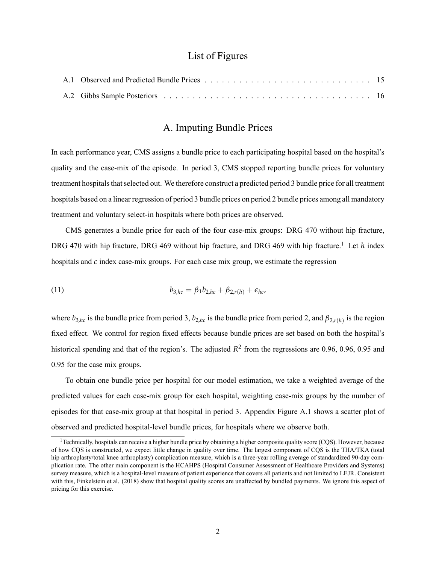#### List of Figures

#### A. Imputing Bundle Prices

<span id="page-1-0"></span>In each performance year, CMS assigns a bundle price to each participating hospital based on the hospital's quality and the case-mix of the episode. In period 3, CMS stopped reporting bundle prices for voluntary treatment hospitals that selected out. We therefore construct a predicted period 3 bundle price for all treatment hospitals based on a linear regression of period 3 bundle prices on period 2 bundle prices among all mandatory treatment and voluntary select-in hospitals where both prices are observed.

CMS generates a bundle price for each of the four case-mix groups: DRG 470 without hip fracture, DRG 470 with hip fracture, DRG 469 without hip fracture, and DRG 469 with hip fracture.<sup>[1](#page-1-1)</sup> Let *h* index hospitals and *c* index case-mix groups. For each case mix group, we estimate the regression

(11) 
$$
b_{3,hc} = \beta_1 b_{2,hc} + \beta_{2,r(h)} + \epsilon_{hc},
$$

where  $b_{3,hc}$  is the bundle price from period 3,  $b_{2,hc}$  is the bundle price from period 2, and  $\beta_{2,r(h)}$  is the region fixed effect. We control for region fixed effects because bundle prices are set based on both the hospital's historical spending and that of the region's. The adjusted  $R^2$  from the regressions are 0.96, 0.96, 0.95 and 0.95 for the case mix groups.

To obtain one bundle price per hospital for our model estimation, we take a weighted average of the predicted values for each case-mix group for each hospital, weighting case-mix groups by the number of episodes for that case-mix group at that hospital in period 3. Appendix Figure [A.1](#page-14-0) shows a scatter plot of observed and predicted hospital-level bundle prices, for hospitals where we observe both.

<span id="page-1-1"></span><sup>&</sup>lt;sup>1</sup> Technically, hospitals can receive a higher bundle price by obtaining a higher composite quality score (CQS). However, because of how CQS is constructed, we expect little change in quality over time. The largest component of CQS is the THA/TKA (total hip arthroplasty/total knee arthroplasty) complication measure, which is a three-year rolling average of standardized 90-day complication rate. The other main component is the HCAHPS (Hospital Consumer Assessment of Healthcare Providers and Systems) survey measure, which is a hospital-level measure of patient experience that covers all patients and not limited to LEJR. Consistent with this, Finkelstein et al. (2018) show that hospital quality scores are unaffected by bundled payments. We ignore this aspect of pricing for this exercise.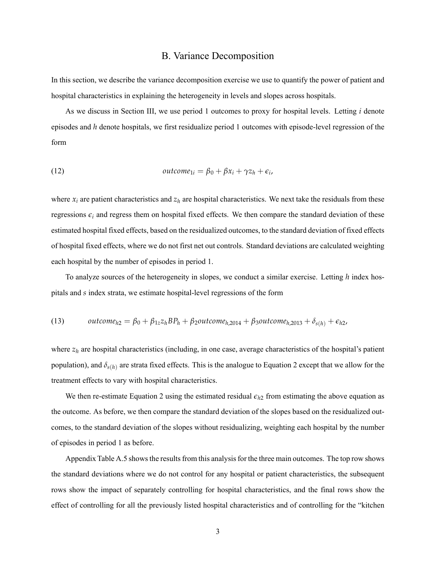#### B. Variance Decomposition

<span id="page-2-0"></span>In this section, we describe the variance decomposition exercise we use to quantify the power of patient and hospital characteristics in explaining the heterogeneity in levels and slopes across hospitals.

As we discuss in Section III, we use period 1 outcomes to proxy for hospital levels. Letting *i* denote episodes and *h* denote hospitals, we first residualize period 1 outcomes with episode-level regression of the form

(12) 
$$
outcome_{1i} = \beta_0 + \beta x_i + \gamma z_h + \epsilon_i,
$$

where  $x_i$  are patient characteristics and  $z_h$  are hospital characteristics. We next take the residuals from these regressions  $\epsilon_i$  and regress them on hospital fixed effects. We then compare the standard deviation of these estimated hospital fixed effects, based on the residualized outcomes, to the standard deviation of fixed effects of hospital fixed effects, where we do not first net out controls. Standard deviations are calculated weighting each hospital by the number of episodes in period 1.

To analyze sources of the heterogeneity in slopes, we conduct a similar exercise. Letting *h* index hospitals and *s* index strata, we estimate hospital-level regressions of the form

(13) 
$$
outcome_{h2} = \beta_0 + \beta_{1z} z_h BP_h + \beta_2 outcome_{h,2014} + \beta_3 outcome_{h,2013} + \delta_{s(h)} + \epsilon_{h2},
$$

where  $z_h$  are hospital characteristics (including, in one case, average characteristics of the hospital's patient population), and *δs*(*h*) are strata fixed effects. This is the analogue to Equation 2 except that we allow for the treatment effects to vary with hospital characteristics.

We then re-estimate Equation 2 using the estimated residual  $\epsilon_{h2}$  from estimating the above equation as the outcome. As before, we then compare the standard deviation of the slopes based on the residualized outcomes, to the standard deviation of the slopes without residualizing, weighting each hospital by the number of episodes in period 1 as before.

Appendix Table [A.5](#page-20-0) shows the results from this analysis for the three main outcomes. The top row shows the standard deviations where we do not control for any hospital or patient characteristics, the subsequent rows show the impact of separately controlling for hospital characteristics, and the final rows show the effect of controlling for all the previously listed hospital characteristics and of controlling for the "kitchen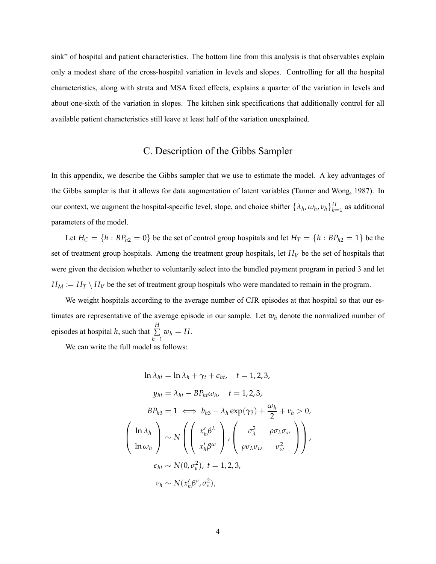sink" of hospital and patient characteristics. The bottom line from this analysis is that observables explain only a modest share of the cross-hospital variation in levels and slopes. Controlling for all the hospital characteristics, along with strata and MSA fixed effects, explains a quarter of the variation in levels and about one-sixth of the variation in slopes. The kitchen sink specifications that additionally control for all available patient characteristics still leave at least half of the variation unexplained.

#### C. Description of the Gibbs Sampler

<span id="page-3-0"></span>In this appendix, we describe the Gibbs sampler that we use to estimate the model. A key advantages of the Gibbs sampler is that it allows for data augmentation of latent variables (Tanner and Wong, 1987). In our context, we augment the hospital-specific level, slope, and choice shifter  $\{\lambda_h, \omega_h, \nu_h\}_{h=1}^H$  as additional parameters of the model.

Let  $H_C = \{h : BP_{h2} = 0\}$  be the set of control group hospitals and let  $H_T = \{h : BP_{h2} = 1\}$  be the set of treatment group hospitals. Among the treatment group hospitals, let *H<sup>V</sup>* be the set of hospitals that were given the decision whether to voluntarily select into the bundled payment program in period 3 and let  $H_M := H_T \setminus H_V$  be the set of treatment group hospitals who were mandated to remain in the program.

We weight hospitals according to the average number of CJR episodes at that hospital so that our estimates are representative of the average episode in our sample. Let *w<sup>h</sup>* denote the normalized number of episodes at hospital *h*, such that  $\sum_{n=1}^{H}$ ∑  $\sum_{h=1} w_h = H.$ 

We can write the full model as follows:

$$
\ln \lambda_{ht} = \ln \lambda_h + \gamma_t + \epsilon_{ht}, \quad t = 1, 2, 3,
$$
\n
$$
y_{ht} = \lambda_{ht} - BP_{ht}\omega_h, \quad t = 1, 2, 3,
$$
\n
$$
BP_{h3} = 1 \iff b_{h3} - \lambda_h \exp(\gamma_3) + \frac{\omega_h}{2} + \nu_h > 0,
$$
\n
$$
\left(\ln \lambda_h\right) \sim N \left(\begin{pmatrix} x_h' \beta^\lambda \\ x_h' \beta^\omega \end{pmatrix}, \begin{pmatrix} \sigma_\lambda^2 & \rho \sigma_\lambda \sigma_\omega \\ \rho \sigma_\lambda \sigma_\omega & \sigma_\omega^2 \end{pmatrix}\right),
$$
\n
$$
\epsilon_{ht} \sim N(0, \sigma_\epsilon^2), \quad t = 1, 2, 3,
$$
\n
$$
\nu_h \sim N(x_h' \beta^\nu, \sigma_\nu^2),
$$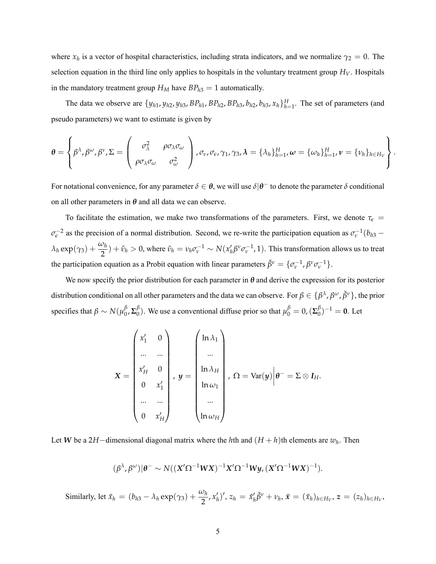where  $x_h$  is a vector of hospital characteristics, including strata indicators, and we normalize  $\gamma_2 = 0$ . The selection equation in the third line only applies to hospitals in the voluntary treatment group  $H_V$ . Hospitals in the mandatory treatment group  $H_M$  have  $BP_{h3} = 1$  automatically.

The data we observe are  $\{y_{h1}, y_{h2}, y_{h3}, BP_{h1}, BP_{h2}, BP_{h3}, b_{h2}, b_{h3}, x_h\}_{h=1}^H$ . The set of parameters (and pseudo parameters) we want to estimate is given by

$$
\boldsymbol{\theta} = \left\{\beta^{\lambda}, \beta^{\omega}, \beta^{\nu}, \Sigma = \left(\begin{array}{cc} \sigma_{\lambda}^2 & \rho \sigma_{\lambda} \sigma_{\omega} \\ \rho \sigma_{\lambda} \sigma_{\omega} & \sigma_{\omega}^2 \end{array}\right), \sigma_{\nu}, \sigma_{\epsilon}, \gamma_1, \gamma_3, \lambda = \{\lambda_h\}_{h=1}^H, \boldsymbol{\omega} = \{\omega_h\}_{h=1}^H, \boldsymbol{\nu} = \{\nu_h\}_{h \in H_V}\right\}.
$$

For notational convenience, for any parameter  $\delta \in \theta$ , we will use  $\delta|\theta^-$  to denote the parameter  $\delta$  conditional on all other parameters in  $\theta$  and all data we can observe.

To facilitate the estimation, we make two transformations of the parameters. First, we denote  $\tau_{\epsilon}$  =  $\sigma_{\epsilon}^{-2}$  as the precision of a normal distribution. Second, we re-write the participation equation as  $\sigma_{\nu}^{-1}(b_{h3} - b_{h4})$  $\lambda_h \exp(\gamma_3) + \frac{\omega_h}{2}) + \tilde{\nu}_h > 0$ , where  $\tilde{\nu}_h = \nu_h \sigma_v^{-1} \sim N(x_h' \beta^v \sigma_v^{-1}, 1)$ . This transformation allows us to treat the participation equation as a Probit equation with linear parameters  $\tilde{\beta}^{\nu} = \{\sigma_{\nu}^{-1}, \beta^{\nu}\sigma_{\nu}^{-1}\}.$ 

We now specify the prior distribution for each parameter in *θ* and derive the expression for its posterior distribution conditional on all other parameters and the data we can observe. For  $\beta \in \{\beta^\lambda, \beta^\omega, \tilde{\beta}^\nu\}$ , the prior specifies that  $\beta \sim N(\mu_0^{\beta})$  $\frac{\beta}{0}$ , Σ $\frac{\beta}{0}$  $\beta_{0}^{\beta}$ ). We use a conventional diffuse prior so that  $\mu_{0}^{\beta} = 0$ , ( $\Sigma_{0}^{\beta}$  $\binom{p}{0}^{-1} = 0$ . Let

$$
\mathbf{X} = \begin{pmatrix} x_1' & 0 \\ \dots & \dots \\ x_H' & 0 \\ 0 & x_1' \\ \dots & \dots \\ 0 & x_H' \end{pmatrix}, \ \mathbf{y} = \begin{pmatrix} \ln \lambda_1 \\ \dots \\ \ln \lambda_H \\ \ln \omega_1 \\ \dots \\ \ln \omega_H \end{pmatrix}, \ \Omega = \text{Var}(\mathbf{y}) \Big| \mathbf{\theta}^- = \Sigma \otimes \mathbf{I}_H.
$$

Let *W* be a 2*H*−dimensional diagonal matrix where the *h*th and  $(H + h)$ th elements are  $w_h$ . Then

$$
(\beta^{\lambda}, \beta^{\omega})|\theta^{-} \sim N((X^{\prime} \Omega^{-1}WX)^{-1}X^{\prime} \Omega^{-1}Wy, (X^{\prime} \Omega^{-1}WX)^{-1}).
$$

Similarly, let  $\tilde{x}_h = (b_{h3} - \lambda_h \exp(\gamma_3) + \frac{\omega_h}{2}, x'_h)'$ ,  $z_h = \tilde{x}_h' \tilde{\beta}^v + v_h$ ,  $\tilde{x} = (\tilde{x}_h)_{h \in H_V}$ ,  $z = (z_h)_{h \in H_V}$ ,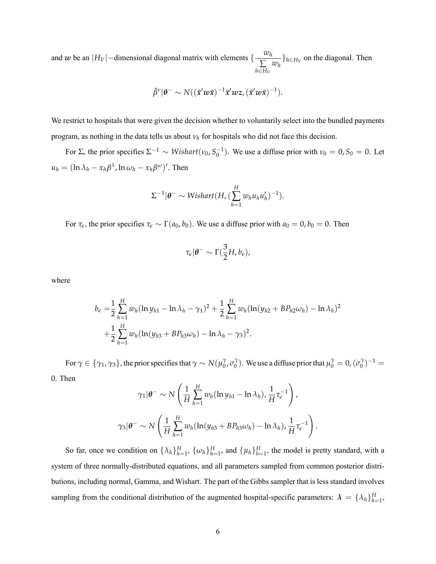and *w* be an  $|H_V|$  – dimensional diagonal matrix with elements  $\left\{\frac{w_h}{\sum_{i=1}^{n} P_i^2} \right\}$ ∑ *h*∈*H<sup>V</sup>*  $\{w_h\}$ *h*∈*H*<sup>*V*</sup></sub> on the diagonal. Then

$$
\tilde{\beta}^{\nu}|\theta^{-} \sim N((\tilde{x}^{\prime}w\tilde{x})^{-1}\tilde{x}^{\prime}wz,(\tilde{x}^{\prime}w\tilde{x})^{-1}).
$$

We restrict to hospitals that were given the decision whether to voluntarily select into the bundled payments program, as nothing in the data tells us about *ν<sup>h</sup>* for hospitals who did not face this decision.

For  $\Sigma$ , the prior specifies  $\Sigma^{-1} \sim Wishart(v_0, S_0^{-1})$ . We use a diffuse prior with  $v_0 = 0, S_0 = 0$ . Let  $u_h = (\ln \lambda_h - x_h \beta^\lambda, \ln \omega_h - x_h \beta^\omega)'$ . Then

$$
\Sigma^{-1}|\theta^{-} \sim \text{Wishart}(H, (\sum_{h=1}^{H} w_h u_h u_h')^{-1}).
$$

For  $\tau_{\epsilon}$ , the prior specifies  $\tau_{\epsilon} \sim \Gamma(a_0, b_0)$ . We use a diffuse prior with  $a_0 = 0, b_0 = 0$ . Then

$$
\tau_{\epsilon}|\theta^{-}\sim\Gamma(\frac{3}{2}H,b_{\epsilon}),
$$

where

$$
b_{\epsilon} = \frac{1}{2} \sum_{h=1}^{H} w_h (\ln y_{h1} - \ln \lambda_h - \gamma_1)^2 + \frac{1}{2} \sum_{h=1}^{H} w_h (\ln (y_{h2} + BP_{h2} \omega_h) - \ln \lambda_h)^2
$$
  
+ 
$$
\frac{1}{2} \sum_{h=1}^{H} w_h (\ln (y_{h3} + BP_{h3} \omega_h) - \ln \lambda_h - \gamma_3)^2.
$$

For  $\gamma \in \{\gamma_1, \gamma_3\}$ , the prior specifies that  $\gamma \sim N(\mu_0^{\gamma})$  $\int_0^\gamma$ , σ<sup>γ</sup>  $\gamma_0^{\gamma}$ ). We use a diffuse prior that  $\mu_0^{\gamma} = 0$ ,  $(\sigma_0^{\gamma})$  $\binom{1}{0}$  -1 = 0. Then

$$
\gamma_1|\theta^-\sim N\left(\frac{1}{H}\sum_{h=1}^H w_h(\ln y_{h1}-\ln\lambda_h),\frac{1}{H}\tau_{\epsilon}^{-1}\right),
$$
  

$$
\gamma_3|\theta^-\sim N\left(\frac{1}{H}\sum_{h=1}^H w_h(\ln(y_{h3}+BP_{h3}\omega_h)-\ln\lambda_h),\frac{1}{H}\tau_{\epsilon}^{-1}\right)
$$

.

So far, once we condition on  $\{\lambda_h\}_{h=1}^H$ ,  $\{\omega_h\}_{h=1}^H$ , and  $\{\mu_h\}_{h=1}^H$ , the model is pretty standard, with a system of three normally-distributed equations, and all parameters sampled from common posterior distributions, including normal, Gamma, and Wishart. The part of the Gibbs sampler that is less standard involves sampling from the conditional distribution of the augmented hospital-specific parameters:  $\lambda = {\lambda_h}_{h=1}^H$ ,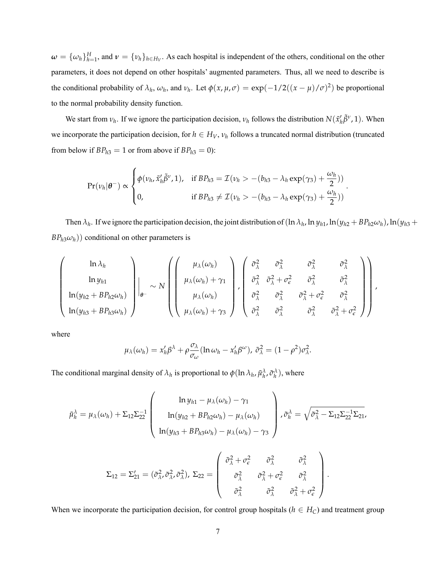$\omega = \{\omega_h\}_{h=1}^H$ , and  $\nu = \{\nu_h\}_{h \in H_V}$ . As each hospital is independent of the others, conditional on the other parameters, it does not depend on other hospitals' augmented parameters. Thus, all we need to describe is the conditional probability of  $\lambda_h$ ,  $\omega_h$ , and  $\nu_h$ . Let  $\phi(x, \mu, \sigma) = \exp(-1/2((x - \mu)/\sigma)^2)$  be proportional to the normal probability density function.

We start from  $v_h$ . If we ignore the participation decision,  $v_h$  follows the distribution  $N(\tilde{x}_h'\tilde{\beta}^v,1)$ . When we incorporate the participation decision, for  $h \in H_V$ ,  $v_h$  follows a truncated normal distribution (truncated from below if  $BP<sub>h3</sub> = 1$  or from above if  $BP<sub>h3</sub> = 0$ ):

$$
\Pr(\nu_h|\boldsymbol{\theta}^-) \propto \begin{cases} \phi(\nu_h, \tilde{x}_h'\tilde{\beta}^{\nu}, 1), & \text{if } BP_{h3} = \mathcal{I}(\nu_h > -(b_{h3} - \lambda_h \exp(\gamma_3) + \frac{\omega_h}{2})) \\ 0, & \text{if } BP_{h3} \neq \mathcal{I}(\nu_h > -(b_{h3} - \lambda_h \exp(\gamma_3) + \frac{\omega_h}{2})) \end{cases}.
$$

Then  $\lambda_h$ . If we ignore the participation decision, the joint distribution of  $(\ln \lambda_h, \ln y_{h1}, \ln(y_{h2} + BP_{h2}\omega_h), \ln(y_{h3} +$  $BP<sub>h3</sub>(\omega<sub>h</sub>)$ ) conditional on other parameters is

$$
\begin{pmatrix}\n\ln \lambda_h \\
\ln y_{h1} \\
\ln(y_{h2} + BP_{h2}\omega_h) \\
\ln(y_{h3} + BP_{h3}\omega_h)\n\end{pmatrix}\n\bigg|_{\theta^-} \sim N \begin{pmatrix}\n\mu_\lambda(\omega_h) \\
\mu_\lambda(\omega_h) + \gamma_1 \\
\mu_\lambda(\omega_h)\n\end{pmatrix},\n\begin{pmatrix}\n\tilde{\sigma}_\lambda^2 & \tilde{\sigma}_\lambda^2 & \tilde{\sigma}_\lambda^2 & \tilde{\sigma}_\lambda^2 \\
\tilde{\sigma}_\lambda^2 & \tilde{\sigma}_\lambda^2 + \sigma_\epsilon^2 & \tilde{\sigma}_\lambda^2 \\
\tilde{\sigma}_\lambda^2 & \tilde{\sigma}_\lambda^2 & \tilde{\sigma}_\lambda^2 + \sigma_\epsilon^2 & \tilde{\sigma}_\lambda^2 \\
\tilde{\sigma}_\lambda^2 & \tilde{\sigma}_\lambda^2 & \tilde{\sigma}_\lambda^2 + \sigma_\epsilon^2\n\end{pmatrix},
$$

where

$$
\mu_{\lambda}(\omega_h) = x_h'\beta^{\lambda} + \rho \frac{\sigma_{\lambda}}{\sigma_{\omega}}(\ln \omega_h - x_h'\beta^{\omega}), \tilde{\sigma}_{\lambda}^2 = (1 - \rho^2)\sigma_{\lambda}^2.
$$

The conditional marginal density of  $\lambda_h$  is proportional to  $\phi(\ln \lambda_h, \tilde{\mu}_h^{\lambda}, \tilde{\sigma}_h^{\lambda})$ , where

$$
\tilde{\mu}_h^{\lambda} = \mu_{\lambda}(\omega_h) + \Sigma_{12}\Sigma_{22}^{-1} \begin{pmatrix} \ln y_{h1} - \mu_{\lambda}(\omega_h) - \gamma_1 \\ \ln(y_{h2} + BP_{h2}\omega_h) - \mu_{\lambda}(\omega_h) \\ \ln(y_{h3} + BP_{h3}\omega_h) - \mu_{\lambda}(\omega_h) - \gamma_3 \end{pmatrix}, \tilde{\sigma}_h^{\lambda} = \sqrt{\tilde{\sigma}_{\lambda}^2 - \Sigma_{12}\Sigma_{22}^{-1}\Sigma_{21}},
$$
\n
$$
\Sigma_{12} = \Sigma_{21}' = (\tilde{\sigma}_{\lambda}^2, \tilde{\sigma}_{\lambda}^2, \tilde{\sigma}_{\lambda}^2), \ \Sigma_{22} = \begin{pmatrix} \tilde{\sigma}_{\lambda}^2 + \sigma_{\epsilon}^2 & \tilde{\sigma}_{\lambda}^2 & \tilde{\sigma}_{\lambda}^2 \\ \tilde{\sigma}_{\lambda}^2 & \tilde{\sigma}_{\lambda}^2 + \sigma_{\epsilon}^2 & \tilde{\sigma}_{\lambda}^2 \\ \tilde{\sigma}_{\lambda}^2 & \tilde{\sigma}_{\lambda}^2 & \tilde{\sigma}_{\lambda}^2 + \sigma_{\epsilon}^2 \end{pmatrix}.
$$

When we incorporate the participation decision, for control group hospitals ( $h \in H_C$ ) and treatment group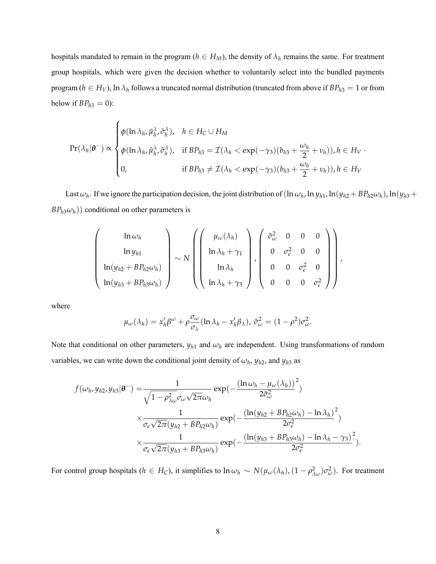hospitals mandated to remain in the program ( $h \in H_M$ ), the density of  $\lambda_h$  remains the same. For treatment group hospitals, which were given the decision whether to voluntarily select into the bundled payments program ( $h \in H_V$ ), ln  $\lambda_h$  follows a truncated normal distribution (truncated from above if  $BP_{h3} = 1$  or from below if  $BP<sub>h3</sub> = 0$ ):

$$
\Pr(\lambda_h|\boldsymbol{\theta}^-) \propto \begin{cases} \phi(\ln \lambda_h, \tilde{\mu}_h^{\lambda}, \tilde{\sigma}_h^{\lambda}), & h \in H_C \cup H_M \\ \phi(\ln \lambda_h, \tilde{\mu}_h^{\lambda}, \tilde{\sigma}_h^{\lambda}), & \text{if } BP_{h3} = \mathcal{I}(\lambda_h < \exp(-\gamma_3)(b_{h3} + \frac{\omega_h}{2} + \nu_h)), h \in H_V \\ 0, & \text{if } BP_{h3} \neq \mathcal{I}(\lambda_h < \exp(-\gamma_3)(b_{h3} + \frac{\omega_h}{2} + \nu_h)), h \in H_V \end{cases}
$$

Last  $\omega_h$ . If we ignore the participation decision, the joint distribution of  $(\ln \omega_h, \ln y_{h1}, \ln(y_{h2} + BP_{h2}\omega_h), \ln(y_{h3} +$  $BP<sub>h3</sub>(\omega<sub>h</sub>)$ ) conditional on other parameters is

$$
\begin{pmatrix}\n\ln \omega_h \\
\ln y_{h1} \\
\ln(y_{h2} + BP_{h2}\omega_h) \\
\ln(y_{h3} + BP_{h3}\omega_h)\n\end{pmatrix}\n\sim N \begin{pmatrix}\n\mu_\omega(\lambda_h) \\
\ln \lambda_h + \gamma_1 \\
\ln \lambda_h \\
\ln \lambda_h + \gamma_3\n\end{pmatrix},\n\begin{pmatrix}\n\tilde{\sigma}_\omega^2 & 0 & 0 & 0 \\
0 & \sigma_\epsilon^2 & 0 & 0 \\
0 & 0 & \sigma_\epsilon^2 & 0 \\
0 & 0 & 0 & \sigma_\epsilon^2\n\end{pmatrix},
$$

where

$$
\mu_{\omega}(\lambda_h) = x_h'\beta^{\omega} + \rho \frac{\sigma_{\omega}}{\sigma_{\lambda}} (\ln \lambda_h - x_h'\beta_{\lambda}), \ \tilde{\sigma}_{\omega}^2 = (1 - \rho^2)\sigma_{\omega}^2.
$$

Note that conditional on other parameters,  $y_{h1}$  and  $\omega_h$  are independent. Using transformations of random variables, we can write down the conditional joint density of  $\omega_h$ ,  $y_{h2}$ , and  $y_{h3}$  as

$$
f(\omega_h, y_{h2}, y_{h3}|\theta^{-}) = \frac{1}{\sqrt{1 - \rho_{\lambda\omega}^2 \sigma_{\omega} \sqrt{2\pi}\omega_h}} \exp\left(-\frac{(\ln \omega_h - \mu_{\omega}(\lambda_h))^2}{2\tilde{\sigma}_{\omega}^2}\right)
$$

$$
\times \frac{1}{\sigma_{\epsilon}\sqrt{2\pi}(y_{h2} + BP_{h2}\omega_h)} \exp\left(-\frac{(\ln(y_{h2} + BP_{h2}\omega_h) - \ln \lambda_h)^2}{2\sigma_{\epsilon}^2}\right)
$$

$$
\times \frac{1}{\sigma_{\epsilon}\sqrt{2\pi}(y_{h3} + BP_{h3}\omega_h)} \exp\left(-\frac{(\ln(y_{h3} + BP_{h3}\omega_h) - \ln \lambda_h - \gamma_3)^2}{2\sigma_{\epsilon}^2}\right).
$$

For control group hospitals ( $h \in H_C$ ), it simplifies to  $\ln \omega_h \sim N(\mu_\omega(\lambda_h), (1 - \rho_{\lambda\omega}^2)\sigma_\omega^2)$ . For treatment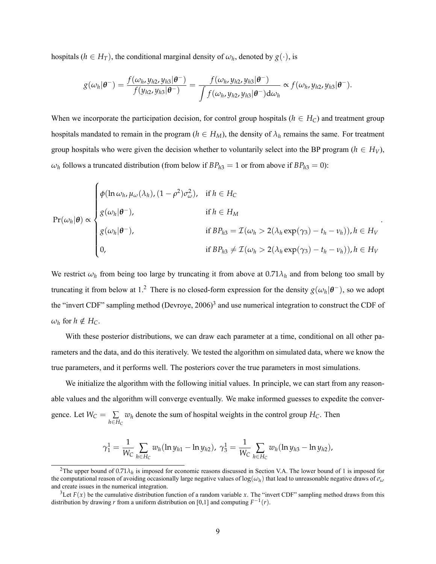hospitals ( $h \in H_T$ ), the conditional marginal density of  $\omega_h$ , denoted by  $g(\cdot)$ , is

$$
g(\omega_h|\boldsymbol{\theta}^-)=\frac{f(\omega_h,y_{h2},y_{h3}|\boldsymbol{\theta}^-)}{f(y_{h2},y_{h3}|\boldsymbol{\theta}^-)}=\frac{f(\omega_h,y_{h2},y_{h3}|\boldsymbol{\theta}^-)}{\int f(\omega_h,y_{h2},y_{h3}|\boldsymbol{\theta}^-)d\omega_h}\propto f(\omega_h,y_{h2},y_{h3}|\boldsymbol{\theta}^-).
$$

When we incorporate the participation decision, for control group hospitals ( $h \in H_C$ ) and treatment group hospitals mandated to remain in the program ( $h \in H_M$ ), the density of  $\lambda_h$  remains the same. For treatment group hospitals who were given the decision whether to voluntarily select into the BP program ( $h \in H_V$ ),  $\omega_h$  follows a truncated distribution (from below if  $BP_{h3} = 1$  or from above if  $BP_{h3} = 0$ ):

$$
\Pr(\omega_h|\theta) \propto \begin{cases} \phi(\ln \omega_h, \mu_\omega(\lambda_h), (1-\rho^2)\sigma_\omega^2), & \text{if } h \in H_{\mathcal{C}} \\ g(\omega_h|\theta^-), & \text{if } h \in H_M \\ g(\omega_h|\theta^-), & \text{if } BP_{h3} = \mathcal{I}(\omega_h > 2(\lambda_h \exp(\gamma_3) - t_h - \nu_h)), h \in H_V \\ 0, & \text{if } BP_{h3} \neq \mathcal{I}(\omega_h > 2(\lambda_h \exp(\gamma_3) - t_h - \nu_h)), h \in H_V \end{cases}.
$$

We restrict  $\omega_h$  from being too large by truncating it from above at  $0.71\lambda_h$  and from belong too small by truncatingit from below at 1[.](#page-8-0)<sup>2</sup> There is no closed-form expression for the density  $g(\omega_h|\theta^-)$ , so we adopt the "invert CDF" sampling method (Devroye, 2006)<sup>[3](#page-8-1)</sup> and use numerical integration to construct the CDF of  $\omega_h$  for  $h \notin H_C$ .

With these posterior distributions, we can draw each parameter at a time, conditional on all other parameters and the data, and do this iteratively. We tested the algorithm on simulated data, where we know the true parameters, and it performs well. The posteriors cover the true parameters in most simulations.

We initialize the algorithm with the following initial values. In principle, we can start from any reasonable values and the algorithm will converge eventually. We make informed guesses to expedite the convergence. Let  $W_C = \sum$ *h*∈*H<sup>C</sup>*  $w_h$  denote the sum of hospital weights in the control group  $H_C$ . Then

$$
\gamma_1^1 = \frac{1}{W_C} \sum_{h \in H_C} w_h (\ln y_{h1} - \ln y_{h2}), \ \gamma_3^1 = \frac{1}{W_C} \sum_{h \in H_C} w_h (\ln y_{h3} - \ln y_{h2}),
$$

<span id="page-8-0"></span><sup>&</sup>lt;sup>2</sup>The upper bound of  $0.71\lambda_h$  is imposed for economic reasons discussed in Section V.A. The lower bound of 1 is imposed for the computational reason of avoiding occasionally large negative values of  $\log(\omega_h)$  that lead to unreasonable negative draws of  $\sigma_\omega$ and create issues in the numerical integration.

<span id="page-8-1"></span><sup>&</sup>lt;sup>3</sup>Let  $F(x)$  be the cumulative distribution function of a random variable x. The "invert CDF" sampling method draws from this distribution by drawing *r* from a uniform distribution on [0,1] and computing  $F^{-1}(r)$ .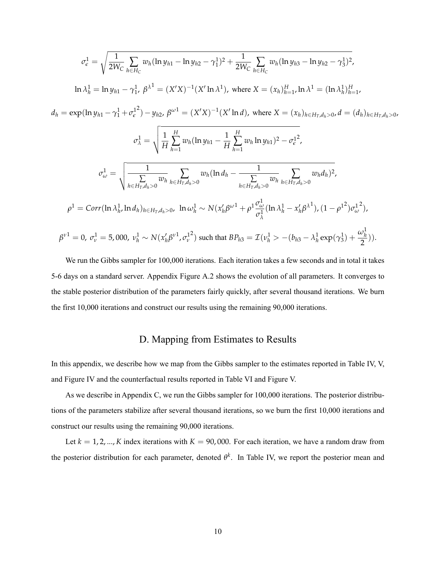$$
\sigma_{e}^{1} = \sqrt{\frac{1}{2W_{C}}} \sum_{h \in H_{C}} w_{h} (\ln y_{h1} - \ln y_{h2} - \gamma_{1}^{1})^{2} + \frac{1}{2W_{C}} \sum_{h \in H_{C}} w_{h} (\ln y_{h3} - \ln y_{h2} - \gamma_{3}^{1})^{2},
$$
  
\n
$$
\ln \lambda_{h}^{1} = \ln y_{h1} - \gamma_{1}^{1}, \beta^{\lambda^{1}} = (X'X)^{-1}(X' \ln \lambda^{1}), \text{ where } X = (x_{h})_{h=1}^{H}, \ln \lambda^{1} = (\ln \lambda_{h})_{h=1}^{H},
$$
  
\n
$$
d_{h} = \exp(\ln y_{h1} - \gamma_{1}^{1} + \sigma_{e}^{12}) - y_{h2}, \beta^{\omega^{1}} = (X'X)^{-1}(X' \ln d), \text{ where } X = (x_{h})_{h \in H_{T}, d_{h} > 0}, d = (d_{h})_{h \in H_{T}, d_{h} > 0},
$$
  
\n
$$
\sigma_{\lambda}^{1} = \sqrt{\frac{1}{H} \sum_{h=1}^{H} w_{h} (\ln y_{h1} - \frac{1}{H} \sum_{h=1}^{H} w_{h} \ln y_{h1})^{2} - \sigma_{e}^{12}},
$$
  
\n
$$
\sigma_{\omega}^{1} = \sqrt{\frac{1}{\sum_{h \in H_{T}, d_{h} > 0} w_{h}} \sum_{h \in H_{T}, d_{h} > 0} w_{h} (\ln d_{h} - \frac{1}{\sum_{h \in H_{T}, d_{h} > 0} w_{h}} \sum_{h \in H_{T}, d_{h} > 0} w_{h} d_{h})^{2}},
$$
  
\n
$$
\rho^{1} = Corr(\ln \lambda_{h}^{1}, \ln d_{h})_{h \in H_{T}, d_{h} > 0}, \ln \omega_{h}^{1} \sim N(x_{h}' \beta^{\omega^{1}} + \rho^{1} \frac{\sigma_{\omega}^{1}}{\sigma_{\lambda}^{1}} (\ln \lambda_{h}^{1} - x_{h}' \beta^{\lambda^{1}}), (1 - \rho^{1^{2}}) \sigma_{\omega}^{1^{2}}),
$$
  
\n
$$
\beta^{\nu^{1}} = 0, \sigma_{\nu}^{1} = 5,0
$$

We run the Gibbs sampler for 100,000 iterations. Each iteration takes a few seconds and in total it takes 5-6 days on a standard server. Appendix Figure [A.2](#page-15-0) shows the evolution of all parameters. It converges to the stable posterior distribution of the parameters fairly quickly, after several thousand iterations. We burn the first 10,000 iterations and construct our results using the remaining 90,000 iterations.

#### D. Mapping from Estimates to Results

<span id="page-9-0"></span>In this appendix, we describe how we map from the Gibbs sampler to the estimates reported in Table IV, V, and Figure IV and the counterfactual results reported in Table VI and Figure V.

As we describe in Appendix [C,](#page-3-0) we run the Gibbs sampler for 100,000 iterations. The posterior distributions of the parameters stabilize after several thousand iterations, so we burn the first 10,000 iterations and construct our results using the remaining 90,000 iterations.

Let  $k = 1, 2, ..., K$  index iterations with  $K = 90,000$ . For each iteration, we have a random draw from the posterior distribution for each parameter, denoted *θ k* . In Table IV, we report the posterior mean and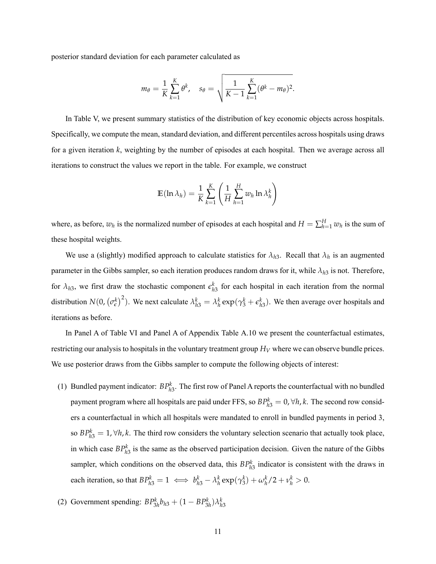posterior standard deviation for each parameter calculated as

$$
m_{\theta} = \frac{1}{K} \sum_{k=1}^{K} \theta^k, \quad s_{\theta} = \sqrt{\frac{1}{K-1} \sum_{k=1}^{K} (\theta^k - m_{\theta})^2}.
$$

In Table V, we present summary statistics of the distribution of key economic objects across hospitals. Specifically, we compute the mean, standard deviation, and different percentiles across hospitals using draws for a given iteration *k*, weighting by the number of episodes at each hospital. Then we average across all iterations to construct the values we report in the table. For example, we construct

$$
\mathbb{E}(\ln \lambda_h) = \frac{1}{K} \sum_{k=1}^{K} \left( \frac{1}{H} \sum_{h=1}^{H} w_h \ln \lambda_h^k \right)
$$

where, as before,  $w_h$  is the normalized number of episodes at each hospital and  $H = \sum_{h=1}^{H} w_h$  is the sum of these hospital weights.

We use a (slightly) modified approach to calculate statistics for  $\lambda_{h3}$ . Recall that  $\lambda_h$  is an augmented parameter in the Gibbs sampler, so each iteration produces random draws for it, while  $\lambda_{h3}$  is not. Therefore, for  $\lambda_{h3}$ , we first draw the stochastic component  $\epsilon_{h3}^k$  for each hospital in each iteration from the normal distribution  $N(0, (\sigma_{\epsilon}^{k})^2)$ . We next calculate  $\lambda_{h3}^{k} = \lambda_h^{k} \exp(\gamma_3^k + \epsilon_{h3}^k)$ . We then average over hospitals and iterations as before.

In Panel A of Table VI and Panel A of Appendix Table [A.10](#page-25-0) we present the counterfactual estimates, restricting our analysis to hospitals in the voluntary treatment group  $H_V$  where we can observe bundle prices. We use posterior draws from the Gibbs sampler to compute the following objects of interest:

(1) Bundled payment indicator:  $BP_{h3}^k$ . The first row of Panel A reports the counterfactual with no bundled payment program where all hospitals are paid under FFS, so  $BP<sub>h3</sub><sup>k</sup> = 0, \forall h, k$ . The second row considers a counterfactual in which all hospitals were mandated to enroll in bundled payments in period 3, so  $BP<sub>h3</sub><sup>k</sup> = 1, \forall h, k$ . The third row considers the voluntary selection scenario that actually took place, in which case  $BP_{h3}^k$  is the same as the observed participation decision. Given the nature of the Gibbs sampler, which conditions on the observed data, this  $BP<sub>h3</sub><sup>k</sup>$  indicator is consistent with the draws in each iteration, so that  $BP_{h3}^k = 1 \iff b_{h3}^k - \lambda_h^k \exp(\gamma_3^k) + \omega_h^k / 2 + \nu_h^k > 0.$ 

(2) Government spending: 
$$
BP_{3h}^k b_{h3} + (1 - BP_{3h}^k) \lambda_{h3}^k
$$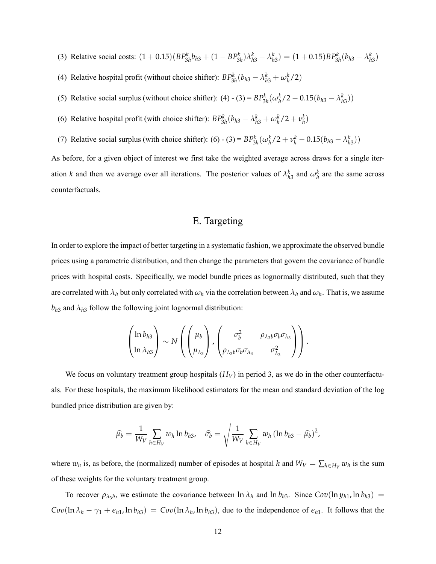- (3) Relative social costs:  $(1+0.15)(BP_{3h}^k b_{h3} + (1-BP_{3h}^k)\lambda_{h3}^k \lambda_{h3}^k) = (1+0.15)BP_{3h}^k(b_{h3} \lambda_{h3}^k)$
- (4) Relative hospital profit (without choice shifter):  $BP_{3h}^k(b_{h3} \lambda_{h3}^k + \omega_h^k/2)$
- (5) Relative social surplus (without choice shifter): (4) (3) =  $BP_{3h}^k(\omega_h^k/2 0.15(b_{h3} \lambda_{h3}^k))$
- (6) Relative hospital profit (with choice shifter):  $BP_{3h}^k(b_{h3} \lambda_{h3}^k + \omega_h^k/2 + \nu_h^k)$
- (7) Relative social surplus (with choice shifter): (6) (3) =  $BP_{3h}^k(\omega_h^k/2 + v_h^k 0.15(b_{h3} \lambda_{h3}^k))$

As before, for a given object of interest we first take the weighted average across draws for a single iteration *k* and then we average over all iterations. The posterior values of  $\lambda_{h3}^k$  and  $\omega_h^k$  are the same across counterfactuals.

#### E. Targeting

<span id="page-11-0"></span>In order to explore the impact of better targeting in a systematic fashion, we approximate the observed bundle prices using a parametric distribution, and then change the parameters that govern the covariance of bundle prices with hospital costs. Specifically, we model bundle prices as lognormally distributed, such that they are correlated with  $\lambda_h$  but only correlated with  $\omega_h$  via the correlation between  $\lambda_h$  and  $\omega_h$ . That is, we assume  $b_{h3}$  and  $\lambda_{h3}$  follow the following joint lognormal distribution:

$$
\begin{pmatrix}\n\ln b_{h3} \\
\ln \lambda_{h3}\n\end{pmatrix}\n\sim N\left(\begin{pmatrix}\n\mu_b \\
\mu_{\lambda_3}\n\end{pmatrix},\begin{pmatrix}\n\sigma_b^2 & \rho_{\lambda_3 b}\sigma_b\sigma_{\lambda_3} \\
\rho_{\lambda_3 b}\sigma_b\sigma_{\lambda_3} & \sigma_{\lambda_3}^2\n\end{pmatrix}\right).
$$

We focus on voluntary treatment group hospitals  $(H_V)$  in period 3, as we do in the other counterfactuals. For these hospitals, the maximum likelihood estimators for the mean and standard deviation of the log bundled price distribution are given by:

$$
\widehat{\mu_b} = \frac{1}{W_V} \sum_{h \in H_V} w_h \ln b_{h3}, \quad \widehat{\sigma_b} = \sqrt{\frac{1}{W_V} \sum_{h \in H_V} w_h \left(\ln b_{h3} - \widehat{\mu_b}\right)^2},
$$

where  $w_h$  is, as before, the (normalized) number of episodes at hospital *h* and  $W_V = \sum_{h \in H_V} w_h$  is the sum of these weights for the voluntary treatment group.

To recover  $\rho_{\lambda_3 b}$ , we estimate the covariance between  $\ln \lambda_h$  and  $\ln b_{h3}$ . Since  $Cov(\ln y_{h1}, \ln b_{h3})$  =  $Cov(\ln \lambda_h - \gamma_1 + \epsilon_{h1}$ ,  $\ln b_{h3}) = Cov(\ln \lambda_h, \ln b_{h3})$ , due to the independence of  $\epsilon_{h1}$ . It follows that the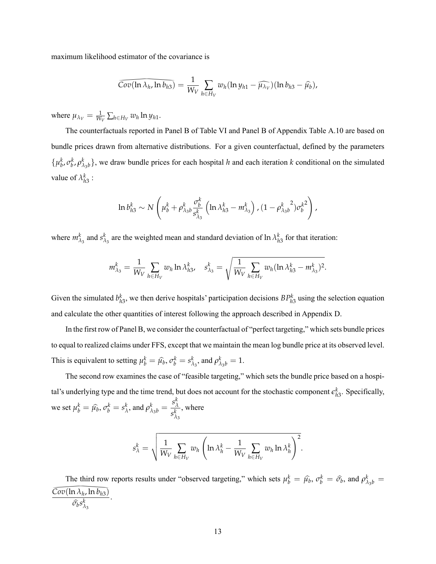maximum likelihood estimator of the covariance is

$$
\overline{Cov(\ln \lambda_h, \ln b_{h3})} = \frac{1}{W_V} \sum_{h \in H_V} w_h(\ln y_{h1} - \widehat{\mu_{\lambda_V}})(\ln b_{h3} - \widehat{\mu_b}),
$$

where  $\mu_{\lambda_V} = \frac{1}{W_V} \sum_{h \in H_V} w_h \ln y_{h1}$ .

 $\overline{Cov(\ln \lambda_h, \ln b_{h3})}$ <br>  $u \in H_V$   $w_h \ln y_{h1}$ .<br>
uals reported in Pane<br>
from alternative distinguishing The counterfactuals reported in Panel B of Table VI and Panel B of Appendix Table [A.10](#page-25-0) are based on bundle prices drawn from alternative distributions. For a given counterfactual, defined by the parameters  $\{\mu_b^k, \sigma_b^k, \rho_{\lambda_3b}^k\}$ , we draw bundle prices for each hospital *h* and each iteration *k* conditional on the simulated value of  $\lambda_{h3}^k$  :

$$
\ln b_{h3}^k \sim N\left(\mu_b^k + \rho_{\lambda_3b}^k \frac{\sigma_b^k}{s_{\lambda_3}^k} \left(\ln \lambda_{h3}^k - m_{\lambda_3}^k\right), (1 - {\rho_{\lambda_3b}^k}^2) {\sigma_b^k}^2\right),
$$

where  $m_{\lambda_3}^k$  and  $s_{\lambda}^k$  $\lambda_3$  are the weighted mean and standard deviation of ln  $\lambda_{h3}^k$  for that iteration:

$$
m_{\lambda_3}^k = \frac{1}{W_V} \sum_{h \in H_V} w_h \ln \lambda_{h3}^k, \quad s_{\lambda_3}^k = \sqrt{\frac{1}{W_V} \sum_{h \in H_V} w_h (\ln \lambda_{h3}^k - m_{\lambda_3}^k)^2}.
$$

Given the simulated  $b_{h3}^k$ , we then derive hospitals' participation decisions  $BP_{h3}^k$  using the selection equation and calculate the other quantities of interest following the approach described in Appendix [D.](#page-9-0)

In the first row of Panel B, we consider the counterfactual of "perfect targeting," which sets bundle prices to equal to realized claims under FFS, except that we maintain the mean log bundle price at its observed level. This is equivalent to setting  $\mu_b^k = \hat{\mu}_b, \sigma_b^k = s_\lambda^k$  $\lambda_3^k$ , and  $\rho_{\lambda_3b}^k = 1$ .

The second row examines the case of "feasible targeting," which sets the bundle price based on a hospital's underlying type and the time trend, but does not account for the stochastic component  $\epsilon_{h3}^k$ . Specifically, we set  $\mu_b^k = \hat{\mu_b}, \sigma_b^k = s_\lambda^k$  $\frac{k}{\lambda}$ , and  $\rho_{\lambda_3b}^k = \frac{s_\lambda^k}{s^k}$ *λ s k λ*3 , where

$$
s_{\lambda}^k = \sqrt{\frac{1}{W_V} \sum_{h \in H_V} w_h \left( \ln \lambda_h^k - \frac{1}{W_V} \sum_{h \in H_V} w_h \ln \lambda_h^k \right)^2}.
$$

The third row reports results under "observed targeting," which sets  $\mu_b^k = \hat{\mu}_b$ ,  $\sigma_b^k = \hat{\sigma}_b$ , and  $\rho_{\lambda_3 b}^k =$ *Cov*(ln *λ<sup>h</sup>*  $\frac{\overbrace{Cov(\ln \lambda_h, \ln b_{h3})}}{\widehat{\sigma_b}s^k_{\lambda_3}}.$ , ln *bh*3)  $\widehat{\sigma_b} s^k_{\lambda}$ *λ*3 .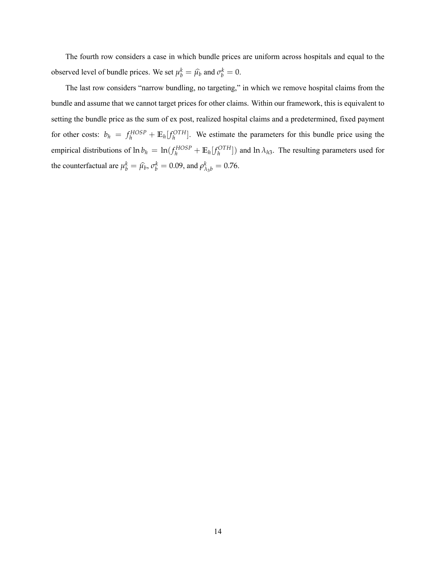The fourth row considers a case in which bundle prices are uniform across hospitals and equal to the observed level of bundle prices. We set  $\mu_b^k = \hat{\mu}_b$  and  $\sigma_b^k = 0$ .

The last row considers "narrow bundling, no targeting," in which we remove hospital claims from the bundle and assume that we cannot target prices for other claims. Within our framework, this is equivalent to setting the bundle price as the sum of ex post, realized hospital claims and a predetermined, fixed payment for other costs:  $b_h = f_h^{HOSP} + \mathbb{E}_h[f_h^{OTH}]$ . We estimate the parameters for this bundle price using the empirical distributions of  $\ln b_h = \ln(f_h^{HOSP} + \mathbb{E}_h[f_h^{OTH}])$  and  $\ln \lambda_{h3}$ . The resulting parameters used for the counterfactual are  $\mu_b^k = \hat{\mu_b}$ ,  $\sigma_b^k = 0.09$ , and  $\rho_{\lambda_3 b}^k = 0.76$ .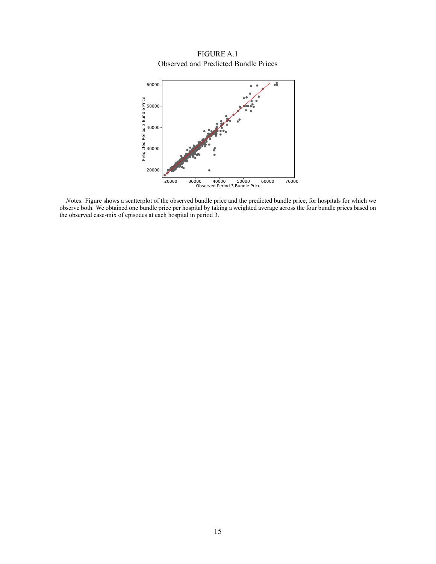FIGURE A.1 Observed and Predicted Bundle Prices

<span id="page-14-0"></span>

*N*otes: Figure shows a scatterplot of the observed bundle price and the predicted bundle price, for hospitals for which we observe both. We obtained one bundle price per hospital by taking a weighted average across the four bundle prices based on the observed case-mix of episodes at each hospital in period 3.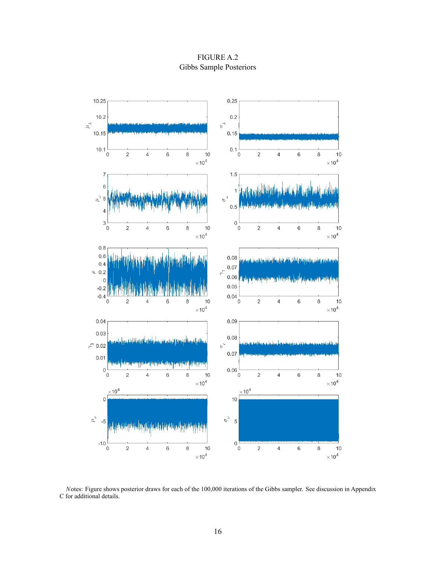FIGURE A.2 Gibbs Sample Posteriors

<span id="page-15-0"></span>

*N*otes: Figure shows posterior draws for each of the 100,000 iterations of the Gibbs sampler. See discussion in Appendix [C](#page-3-0) for additional details.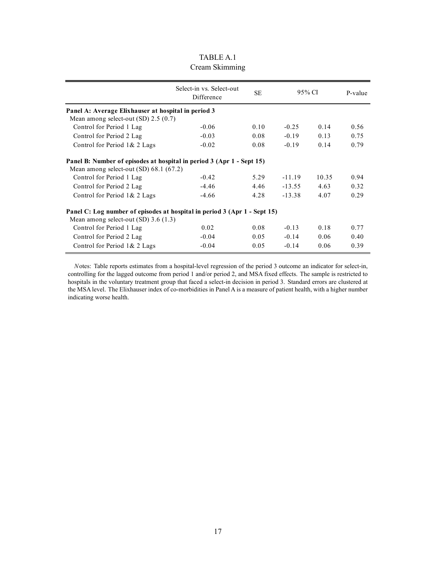<span id="page-16-0"></span>

|                                                                                                                       | Select-in vs. Select-out<br><b>SE</b><br>95% CI<br>Difference |      |          | P-value |      |  |  |  |  |
|-----------------------------------------------------------------------------------------------------------------------|---------------------------------------------------------------|------|----------|---------|------|--|--|--|--|
| Panel A: Average Elixhauser at hospital in period 3                                                                   |                                                               |      |          |         |      |  |  |  |  |
| Mean among select-out $(SD)$ 2.5 $(0.7)$                                                                              |                                                               |      |          |         |      |  |  |  |  |
| Control for Period 1 Lag                                                                                              | $-0.06$                                                       | 0.10 | $-0.25$  | 0.14    | 0.56 |  |  |  |  |
| Control for Period 2 Lag                                                                                              | $-0.03$                                                       | 0.08 | $-0.19$  | 0.13    | 0.75 |  |  |  |  |
| Control for Period 1& 2 Lags                                                                                          | $-0.02$                                                       | 0.08 | $-0.19$  | 0.14    | 0.79 |  |  |  |  |
| Panel B: Number of episodes at hospital in period 3 (Apr 1 - Sept 15)<br>Mean among select-out $(SD)$ 68.1 (67.2)     |                                                               |      |          |         |      |  |  |  |  |
| Control for Period 1 Lag                                                                                              | $-0.42$                                                       | 5.29 | $-11.19$ | 10.35   | 0.94 |  |  |  |  |
| Control for Period 2 Lag                                                                                              | $-4.46$                                                       | 4.46 | $-13.55$ | 4.63    | 0.32 |  |  |  |  |
| Control for Period 1& 2 Lags                                                                                          | $-4.66$                                                       | 4.28 | $-13.38$ | 4.07    | 0.29 |  |  |  |  |
| Panel C: Log number of episodes at hospital in period 3 (Apr 1 - Sept 15)<br>Mean among select-out $(SD)$ 3.6 $(1.3)$ |                                                               |      |          |         |      |  |  |  |  |
| Control for Period 1 Lag                                                                                              | 0.02                                                          | 0.08 | $-0.13$  | 0.18    | 0.77 |  |  |  |  |
| Control for Period 2 Lag                                                                                              | $-0.04$                                                       | 0.05 | $-0.14$  | 0.06    | 0.40 |  |  |  |  |
| Control for Period 1& 2 Lags                                                                                          | $-0.04$                                                       | 0.05 | $-0.14$  | 0.06    | 0.39 |  |  |  |  |

#### TABLE A.1 Cream Skimming

*N*otes: Table reports estimates from a hospital-level regression of the period 3 outcome an indicator for select-in, controlling for the lagged outcome from period 1 and/or period 2, and MSA fixed effects. The sample is restricted to hospitals in the voluntary treatment group that faced a select-in decision in period 3. Standard errors are clustered at the MSA level. The Elixhauser index of co-morbidities in Panel A is a measure of patient health, with a higher number indicating worse health.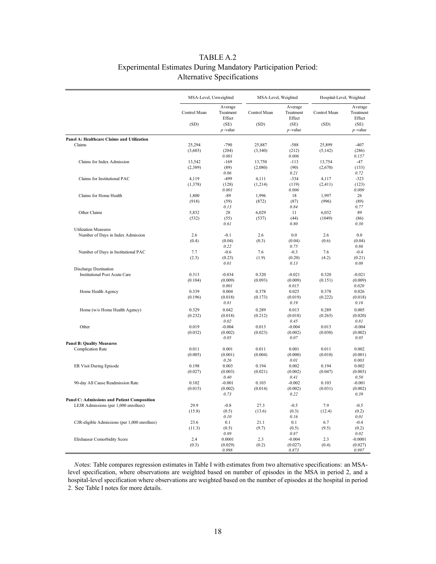#### TABLE A.2 Experimental Estimates During Mandatory Participation Period: Alternative Specifications

<span id="page-17-0"></span>

|                                                                                      | MSA-Level, Unweighted |                                        | MSA-Level, Weighted  |                                        | Hospital-Level, Weighted |                                        |
|--------------------------------------------------------------------------------------|-----------------------|----------------------------------------|----------------------|----------------------------------------|--------------------------|----------------------------------------|
|                                                                                      | Control Mean<br>(SD)  | Average<br>Treatment<br>Effect<br>(SE) | Control Mean<br>(SD) | Average<br>Treatment<br>Effect<br>(SE) | Control Mean<br>(SD)     | Average<br>Treatment<br>Effect<br>(SE) |
|                                                                                      |                       | $p$ -value                             |                      | $p$ -value                             |                          | $p$ -value                             |
| Panel A: Healthcare Claims and Utilization                                           |                       |                                        |                      |                                        |                          |                                        |
| Claims                                                                               | 25,294                | $-790$                                 | 25,887               | $-588$                                 | 25,899                   | $-407$                                 |
|                                                                                      | (3,603)               | (204)<br>0.001                         | (3,340)              | (212)<br>0.006                         | (5,142)                  | (286)<br>0.157                         |
| Claims for Index Admission                                                           | 13,542                | $-169$                                 | 13,750               | $-113$                                 | 13,754                   | $-47$                                  |
|                                                                                      | (2,389)               | (89)                                   | (2,080)              | (90)                                   | (2,670)                  | (133)                                  |
|                                                                                      |                       | 0.06                                   |                      | 0.21                                   |                          | 0.72                                   |
| Claims for Institutional PAC                                                         | 4,119                 | $-499$                                 | 4,111                | $-334$                                 | 4,117                    | $-323$                                 |
|                                                                                      | (1,378)               | (128)                                  | (1,214)              | (119)                                  | (2, 411)                 | (123)                                  |
|                                                                                      |                       | 0.001                                  |                      | 0.006                                  |                          | 0.009                                  |
| Claims for Home Health                                                               | 1,800<br>(918)        | $-89$<br>(59)                          | 1,996<br>(872)       | 18<br>(87)                             | 1,997<br>(996)           | 26<br>(89)                             |
|                                                                                      |                       | 0.13                                   |                      | 0.84                                   |                          | 0.77                                   |
| Other Claims                                                                         | 5,832                 | 28                                     | 6,029                | 11                                     | 6,032                    | 89                                     |
|                                                                                      | (532)                 | (55)                                   | (537)                | (44)                                   | (1049)                   | (86)                                   |
|                                                                                      |                       | 0.61                                   |                      | 0.80                                   |                          | 0.30                                   |
| <b>Utilization Measures</b>                                                          |                       |                                        |                      |                                        |                          |                                        |
| Number of Days in Index Admission                                                    | 2.6                   | $-0.1$                                 | 2.6                  | 0.0                                    | 2.6                      | 0.0                                    |
|                                                                                      | (0.4)                 | (0.04)<br>0.22                         | (0.3)                | (0.04)<br>0.75                         | (0.6)                    | (0.04)<br>0.86                         |
| Number of Days in Institutional PAC                                                  | 7.7                   | $-0.6$                                 | 7.6                  | $-0.3$                                 | 7.6                      | $-0.4$                                 |
|                                                                                      | (2.3)                 | (0.23)                                 | (1.9)                | (0.20)                                 | (4.2)                    | (0.21)                                 |
|                                                                                      |                       | 0.01                                   |                      | 0.13                                   |                          | 0.08                                   |
| Discharge Destination                                                                |                       |                                        |                      |                                        |                          |                                        |
| <b>Institutional Post Acute Care</b>                                                 | 0.313                 | $-0.034$                               | 0.320                | $-0.021$                               | 0.320                    | $-0.021$                               |
|                                                                                      | (0.104)               | (0.009)                                | (0.093)              | (0.009)                                | (0.151)                  | (0.009)                                |
|                                                                                      | 0.339                 | 0.001<br>0.004                         | 0.378                | 0.015<br>0.025                         | 0.378                    | 0.020<br>0.026                         |
| Home Health Agency                                                                   | (0.196)               | (0.018)                                | (0.173)              | (0.019)                                | (0.222)                  | (0.018)                                |
|                                                                                      |                       | 0.81                                   |                      | 0.19                                   |                          | 0.16                                   |
| Home (w/o Home Health Agency)                                                        | 0.329                 | 0.042                                  | 0.289                | 0.013                                  | 0.289                    | 0.005                                  |
|                                                                                      | (0.232)               | (0.018)                                | (0.212)              | (0.018)                                | (0.265)                  | (0.020)                                |
|                                                                                      |                       | 0.02                                   |                      | 0.45                                   |                          | 0.81                                   |
| Other                                                                                | 0.019                 | $-0.004$                               | 0.013                | $-0.004$                               | 0.013                    | $-0.004$                               |
|                                                                                      | (0.032)               | (0.002)                                | (0.023)              | (0.002)                                | (0.030)                  | (0.002)                                |
|                                                                                      |                       | 0.05                                   |                      | 0.07                                   |                          | 0.05                                   |
| <b>Panel B: Quality Measures</b>                                                     |                       |                                        |                      |                                        |                          |                                        |
| <b>Complication Rate</b>                                                             | 0.011<br>(0.005)      | 0.001<br>(0.001)                       | 0.011<br>(0.004)     | 0.001<br>(0.000)                       | 0.011<br>(0.010)         | 0.002<br>(0.001)                       |
|                                                                                      |                       | 0.26                                   |                      | 0.01                                   |                          | 0.003                                  |
| ER Visit During Episode                                                              | 0.198                 | 0.003                                  | 0.194                | 0.002                                  | 0.194                    | 0.002                                  |
|                                                                                      | (0.027)               | (0.003)                                | (0.021)              | (0.002)                                | (0.047)                  | (0.003)                                |
|                                                                                      |                       | 0.40                                   |                      | 0.41                                   |                          | 0.50                                   |
| 90-day All Cause Readmission Rate                                                    | 0.102                 | $-0.001$                               | 0.103                | $-0.002$                               | 0.103                    | $-0.001$                               |
|                                                                                      | (0.015)               | (0.002)                                | (0.014)              | (0.002)                                | (0.031)                  | (0.002)                                |
|                                                                                      |                       | 0.73                                   |                      | 0.22                                   |                          | 0.39                                   |
| Panel C: Admissions and Patient Composition<br>LEJR Admissions (per 1,000 enrollees) | 29.9                  | $-0.8$                                 | 27.3                 | $-0.5$                                 | 7.9                      | $-0.5$                                 |
|                                                                                      | (15.8)                | (0.5)                                  | (13.6)               | (0.3)                                  | (12.4)                   | (0.2)                                  |
|                                                                                      |                       | 0.10                                   |                      | 0.16                                   |                          | 0.01                                   |
| CJR-eligible Admissions (per 1,000 enrollees)                                        | 23.6                  | 0.1                                    | 21.1                 | 0.1                                    | 6.7                      | $-0.4$                                 |
|                                                                                      | (11.3)                | (0.5)                                  | (9.7)                | (0.5)                                  | (9.5)                    | (0.2)                                  |
|                                                                                      |                       | 0.89                                   |                      | 0.87                                   |                          | 0.02                                   |
| Elixhauser Comorbidity Score                                                         | 2.4                   | 0.0001                                 | 2.3                  | $-0.004$                               | 2.3                      | $-0.0001$                              |
|                                                                                      | (0.3)                 | (0.029)                                | (0.2)                | (0.027)                                | (0.4)                    | (0.027)                                |
|                                                                                      |                       | 0.998                                  |                      | 0.873                                  |                          | 0.997                                  |

*N*otes: Table compares regression estimates in Table I with estimates from two alternative specifications: an MSAlevel specification, where observations are weighted based on number of episodes in the MSA in period 2, and a hospital-level specification where observations are weighted based on the number of episodes at the hospital in period 2. See Table I notes for more details.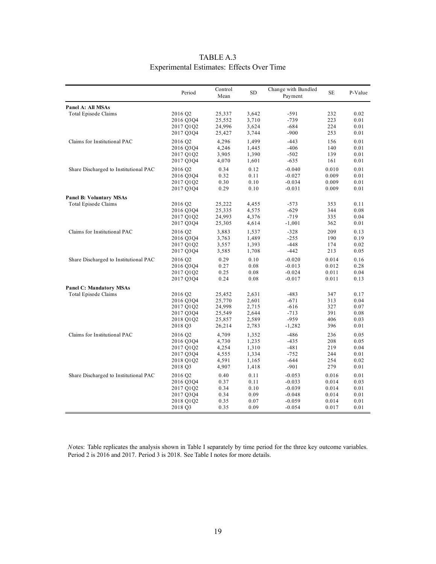<span id="page-18-0"></span>

|                                                        | Period                                         | Control<br>Mean                      | SD                               | Change with Bundled<br>Payment         | SE                       | P-Value                      |
|--------------------------------------------------------|------------------------------------------------|--------------------------------------|----------------------------------|----------------------------------------|--------------------------|------------------------------|
| Panel A: All MSAs                                      |                                                |                                      |                                  |                                        |                          |                              |
| Total Episode Claims                                   | 2016 Q2                                        | 25,337                               | 3,642                            | -591                                   | 232                      | 0.02                         |
|                                                        | 2016 Q3Q4                                      | 25,552                               | 3,710                            | $-739$                                 | 223                      | 0.01                         |
|                                                        | 2017 Q1Q2                                      | 24,996                               | 3,624                            | $-684$                                 | 224                      | 0.01                         |
|                                                        | 2017 Q3Q4                                      | 25,427                               | 3,744                            | $-900$                                 | 253                      | 0.01                         |
| Claims for Institutional PAC                           | 2016 Q2                                        | 4,296                                | 1,499                            | $-443$                                 | 156                      | 0.01                         |
|                                                        | 2016 Q3Q4                                      | 4,246                                | 1,445                            | $-406$                                 | 140                      | 0.01                         |
|                                                        | 2017 Q1Q2                                      | 3,905                                | 1,390                            | $-502$                                 | 139                      | 0.01                         |
|                                                        | 2017 Q3Q4                                      | 4,070                                | 1,601                            | $-635$                                 | 161                      | 0.01                         |
| Share Discharged to Institutional PAC                  | 2016 Q2                                        | 0.34                                 | 0.12                             | $-0.040$                               | 0.010                    | 0.01                         |
|                                                        | 2016 Q3Q4                                      | 0.32                                 | 0.11                             | $-0.027$                               | 0.009                    | 0.01                         |
|                                                        | 2017 Q1Q2                                      | 0.30                                 | 0.10                             | $-0.034$                               | 0.009                    | 0.01                         |
|                                                        | 2017 Q3Q4                                      | 0.29                                 | 0.10                             | $-0.031$                               | 0.009                    | 0.01                         |
| <b>Panel B: Voluntary MSAs</b><br>Total Episode Claims | 2016 Q2<br>2016 Q3Q4<br>2017 Q1Q2<br>2017 Q3Q4 | 25,222<br>25,335<br>24,993<br>25,305 | 4,455<br>4,575<br>4,376<br>4,614 | $-573$<br>$-629$<br>$-719$<br>$-1,001$ | 353<br>344<br>335<br>362 | 0.11<br>0.08<br>0.04<br>0.01 |
| Claims for Institutional PAC                           | 2016 Q <sub>2</sub>                            | 3,883                                | 1,537                            | $-328$                                 | 209                      | 0.13                         |
|                                                        | 2016 Q3Q4                                      | 3,763                                | 1,489                            | $-255$                                 | 190                      | 0.19                         |
|                                                        | 2017 Q1Q2                                      | 3,557                                | 1,393                            | $-448$                                 | 174                      | 0.02                         |
|                                                        | 2017 Q3Q4                                      | 3,585                                | 1,708                            | $-442$                                 | 213                      | 0.05                         |
| Share Discharged to Institutional PAC                  | 2016 Q2                                        | 0.29                                 | 0.10                             | $-0.020$                               | 0.014                    | 0.16                         |
|                                                        | 2016 Q3Q4                                      | 0.27                                 | 0.08                             | $-0.013$                               | 0.012                    | 0.28                         |
|                                                        | 2017 Q1Q2                                      | 0.25                                 | $0.08\,$                         | $-0.024$                               | 0.011                    | 0.04                         |
|                                                        | 2017 Q3Q4                                      | 0.24                                 | $0.08\,$                         | $-0.017$                               | 0.011                    | 0.13                         |
| <b>Panel C: Mandatory MSAs</b>                         |                                                |                                      |                                  |                                        |                          |                              |
| Total Episode Claims                                   | 2016 Q2                                        | 25,452                               | 2,631                            | $-483$                                 | 347                      | 0.17                         |
|                                                        | 2016 Q3Q4                                      | 25,770                               | 2,601                            | $-671$                                 | 313                      | 0.04                         |
|                                                        | 2017 Q1Q2                                      | 24,998                               | 2,715                            | $-616$                                 | 327                      | 0.07                         |
|                                                        | 2017 Q3Q4                                      | 25,549                               | 2,644                            | $-713$                                 | 391                      | 0.08                         |
|                                                        | 2018 Q1Q2                                      | 25,857                               | 2,589                            | $-959$                                 | 406                      | 0.03                         |
|                                                        | 2018 Q3                                        | 26,214                               | 2,783                            | $-1,282$                               | 396                      | 0.01                         |
| Claims for Institutional PAC                           | 2016 Q <sub>2</sub>                            | 4,709                                | 1,352                            | $-486$                                 | 236                      | 0.05                         |
|                                                        | 2016 Q3Q4                                      | 4,730                                | 1,235                            | $-435$                                 | 208                      | 0.05                         |
|                                                        | 2017 Q1Q2                                      | 4,254                                | 1,310                            | $-481$                                 | 219                      | 0.04                         |
|                                                        | 2017 Q3Q4                                      | 4,555                                | 1,334                            | $-752$                                 | 244                      | 0.01                         |
|                                                        | 2018 Q1Q2                                      | 4,591                                | 1,165                            | $-644$                                 | 254                      | 0.02                         |
|                                                        | 2018 Q3                                        | 4,907                                | 1,418                            | $-901$                                 | 279                      | 0.01                         |
| Share Discharged to Institutional PAC                  | 2016 Q2                                        | 0.40                                 | 0.11                             | $-0.053$                               | 0.016                    | 0.01                         |
|                                                        | 2016 Q3Q4                                      | 0.37                                 | 0.11                             | $-0.033$                               | 0.014                    | 0.03                         |
|                                                        | 2017 Q1Q2                                      | 0.34                                 | 0.10                             | $-0.039$                               | 0.014                    | 0.01                         |
|                                                        | 2017 Q3Q4                                      | 0.34                                 | 0.09                             | $-0.048$                               | 0.014                    | 0.01                         |
|                                                        | 2018 Q1Q2                                      | 0.35                                 | 0.07                             | $-0.059$                               | 0.014                    | 0.01                         |
|                                                        | 2018 Q3                                        | 0.35                                 | 0.09                             | $-0.054$                               | 0.017                    | 0.01                         |

#### TABLE A.3 Experimental Estimates: Effects Over Time

*N*otes: Table replicates the analysis shown in Table I separately by time period for the three key outcome variables. Period 2 is 2016 and 2017. Period 3 is 2018. See Table I notes for more details.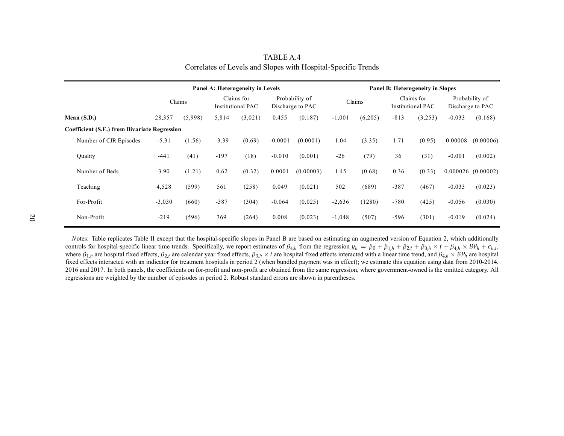|                                                     | Panel A: Heterogeneity in Levels |         |                                        |         | Panel B: Heterogeneity in Slopes   |           |          |         |                                        |         |                                    |                      |
|-----------------------------------------------------|----------------------------------|---------|----------------------------------------|---------|------------------------------------|-----------|----------|---------|----------------------------------------|---------|------------------------------------|----------------------|
|                                                     |                                  | Claims  | Claims for<br><b>Institutional PAC</b> |         | Probability of<br>Discharge to PAC |           | Claims   |         | Claims for<br><b>Institutional PAC</b> |         | Probability of<br>Discharge to PAC |                      |
| Mean $(S.D.)$                                       | 28,357                           | (5,998) | 5,814                                  | (3,021) | 0.455                              | (0.187)   | $-1,001$ | (6,205) | $-813$                                 | (3,253) | $-0.033$                           | (0.168)              |
| <b>Coefficient (S.E.) from Bivariate Regression</b> |                                  |         |                                        |         |                                    |           |          |         |                                        |         |                                    |                      |
| Number of CJR Episodes                              | $-5.31$                          | (1.56)  | $-3.39$                                | (0.69)  | $-0.0001$                          | (0.0001)  | 1.04     | (3.35)  | 1.71                                   | (0.95)  | 0.00008                            | (0.00006)            |
| Quality                                             | $-441$                           | (41)    | $-197$                                 | (18)    | $-0.010$                           | (0.001)   | $-26$    | (79)    | 36                                     | (31)    | $-0.001$                           | (0.002)              |
| Number of Beds                                      | 3.90                             | (1.21)  | 0.62                                   | (0.32)  | 0.0001                             | (0.00003) | 1.45     | (0.68)  | 0.36                                   | (0.33)  |                                    | $0.000026$ (0.00002) |
| Teaching                                            | 4,528                            | (599)   | 561                                    | (258)   | 0.049                              | (0.021)   | 502      | (689)   | $-387$                                 | (467)   | $-0.033$                           | (0.023)              |
| For-Profit                                          | $-3,030$                         | (660)   | $-387$                                 | (304)   | $-0.064$                           | (0.025)   | $-2,636$ | (1280)  | $-780$                                 | (425)   | $-0.056$                           | (0.030)              |
| Non-Profit                                          | $-219$                           | (596)   | 369                                    | (264)   | 0.008                              | (0.023)   | $-1,048$ | (507)   | $-596$                                 | (301)   | $-0.019$                           | (0.024)              |

| TABLE A.4                                                     |  |
|---------------------------------------------------------------|--|
| Correlates of Levels and Slopes with Hospital-Specific Trends |  |

<span id="page-19-0"></span>*<sup>N</sup>*otes: Table replicates Table II excep<sup>t</sup> that the hospital-specific slopes in Panel <sup>B</sup> are based on estimating an augmented version of Equation 2, which additionally controls for hospital-specific linear time trends. Specifically, we report estimates of  $\beta_{4,h}$  from the regression  $y_h = \beta_0 + \beta_{1,h} + \beta_{2,h} + \beta_{3,h} \times t + \beta_{4,h} \times BP_h + \epsilon_{h,t}$ ,<br>where  $\beta_{1,h}$  are hospital fixed effects,  $\beta_{2,t}$ fixed effects interacted with an indicator for treatment hospitals in period <sup>2</sup> (when bundled paymen<sup>t</sup> was in effect); we estimate this equation using data from 2010-2014, <sup>2016</sup> and 2017. In both panels, the coefficients on for-profit and non-profit are obtained from the same regression, where government-owned is the omitted category. All regressions are weighted by the number of episodes in period 2. Robust standard errors are shown in parentheses.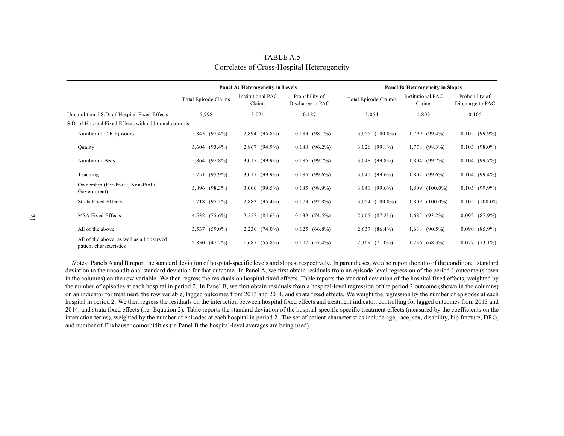|                                                                      |                      | Panel A: Heterogeneity in Levels   |                                    | Panel B: Heterogeneity in Slopes |                             |                                    |  |
|----------------------------------------------------------------------|----------------------|------------------------------------|------------------------------------|----------------------------------|-----------------------------|------------------------------------|--|
|                                                                      | Total Episode Claims | <b>Institutional PAC</b><br>Claims | Probability of<br>Discharge to PAC | Total Episode Claimis            | Institutional PAC<br>Claims | Probability of<br>Discharge to PAC |  |
| Unconditional S.D. of Hospital Fixed Effects                         | 5,998                | 3,021                              | 0.187                              | 3,054                            | 1,809                       | 0.105                              |  |
| S.D. of Hospital Fixed Effects with additional controls:             |                      |                                    |                                    |                                  |                             |                                    |  |
| Number of CJR Episodes                                               | 5,843 (97.4%)        | 2,894 (95.8%)                      | $0.183$ (98.1%)                    | $3,055$ $(100.0\%)$              | 1,799 (99.4%)               | $0.105$ (99.9%)                    |  |
| Quality                                                              | 5,604 (93.4%)        | 2,867 (94.9%)                      | $0.180(96.2\%)$                    | $3,026$ (99.1%)                  | 1,778<br>$(98.3\%)$         | $0.103$ $(98.0\%)$                 |  |
| Number of Beds                                                       | 5,864 (97.8%)        | 3,017 (99.9%)                      | $0.186$ (99.7%)                    | 3,048 (99.8%)                    | 1,804 (99.7%)               | $0.104$ (99.7%)                    |  |
| Teaching                                                             | 5,751 (95.9%)        | 3,017 (99.9%)                      | $0.186$ (99.6%)                    | $3,041$ (99.6%)                  | 1,802 (99.6%)               | $0.104$ (99.4%)                    |  |
| Ownership (For-Profit, Non-Profit,<br>Government)                    | 5,896 (98.3%)        | 3,006 (99.5%)                      | $0.185$ (98.9%)                    | $3,041$ (99.6%)                  | 1,809 (100.0%)              | $0.105$ (99.9%)                    |  |
| <b>Strata Fixed Effects</b>                                          | 5,718 (95.3%)        | 2,882 (95.4%)                      | $0.173$ (92.8%)                    | $3,054$ $(100.0\%)$              | $1,809$ $(100.0\%)$         | $0.105$ $(100.0\%$                 |  |
| <b>MSA Fixed Effects</b>                                             | 4,532 (75.6%)        | 2,557 (84.6%)                      | 0.139(74.5%)                       | 2,665 (87.2%)                    | $(93.2\%)$<br>1,685         | $0.092$ $(87.9\%)$                 |  |
| All of the above                                                     | 3,537 (59.0%)        | 2,236 (74.0%)                      | $0.125(66.8\%)$                    | 2,637 (86.4%)                    | $1,638$ $(90.5\%)$          | $0.090(85.9\%)$                    |  |
| All of the above, as well as all observed<br>patient characteristics | 2,830 (47.2%)        | $1,687$ $(55.8\%)$                 | $0.107$ $(57.4\%)$                 | 2,169 (71.0%)                    | 1,236 (68.3%)               | $0.077$ $(73.1\%)$                 |  |

TABLE A.5 Correlates of Cross-Hospital Heterogeneity

<span id="page-20-0"></span>Notes: Panels A and B report the standard deviation of hospital-specific levels and slopes, respectively. In parentheses, we also report the ratio of the conditional standard<br>deviation to the unconditional standard deviati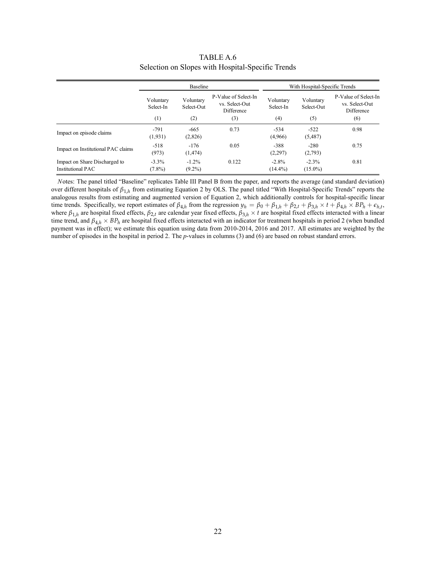<span id="page-21-0"></span>

|                                                    |                               | <b>Baseline</b>         |                                                      |                        | With Hospital-Specific Trends |                                                      |  |  |
|----------------------------------------------------|-------------------------------|-------------------------|------------------------------------------------------|------------------------|-------------------------------|------------------------------------------------------|--|--|
|                                                    | Voluntary<br>Select-In<br>(1) | Voluntary<br>Select-Out | P-Value of Select-In<br>vs. Select-Out<br>Difference | Voluntarv<br>Select-In | Voluntary<br>Select-Out       | P-Value of Select-In<br>vs. Select-Out<br>Difference |  |  |
|                                                    |                               | (2)                     | (3)                                                  | (4)                    | (5)                           | (6)                                                  |  |  |
| Impact on episode claims                           | $-791$<br>(1, 931)            | $-665$<br>(2,826)       | 0.73                                                 | $-534$<br>(4,966)      | $-522$<br>(5,487)             | 0.98                                                 |  |  |
| Impact on Institutional PAC claims                 | $-518$<br>(973)               | $-176$<br>(1, 474)      | 0.05                                                 | $-388$<br>(2,297)      | $-280$<br>(2,793)             | 0.75                                                 |  |  |
| Impact on Share Discharged to<br>Institutional PAC | $-3.3\%$<br>$(7.8\%)$         | $-1.2\%$<br>$(9.2\%)$   | 0.122                                                | $-2.8\%$<br>$(14.4\%)$ | $-2.3\%$<br>$(15.0\%)$        | 0.81                                                 |  |  |

TABLE A.6 Selection on Slopes with Hospital-Specific Trends

*N*otes: The panel titled "Baseline" replicates Table III Panel B from the paper, and reports the average (and standard deviation) over different hospitals of *β*1,*<sup>h</sup>* from estimating Equation 2 by OLS. The panel titled "With Hospital-Specific Trends" reports the analogous results from estimating and augmented version of Equation 2, which additionally controls for hospital-specific linear time trends. Specifically, we report estimates of  $\beta_{4,h}$  from the regression  $y_h = \beta_0 + \beta_{1,h} + \beta_{2,t} + \beta_{3,h} \times t + \beta_{4,h} \times BP_h + \epsilon_{h,t}$ , where  $\beta_{1,h}$  are hospital fixed effects,  $\beta_{2,t}$  are calendar year fixed effects,  $\beta_{3,h} \times t$  are hospital fixed effects interacted with a linear time trend, and *β*4,*<sup>h</sup>* × *BP<sup>h</sup>* are hospital fixed effects interacted with an indicator for treatment hospitals in period 2 (when bundled payment was in effect); we estimate this equation using data from 2010-2014, 2016 and 2017. All estimates are weighted by the number of episodes in the hospital in period 2. The *p*-values in columns (3) and (6) are based on robust standard errors.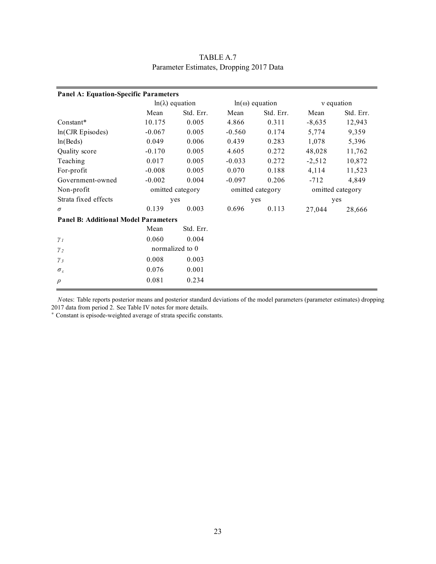<span id="page-22-0"></span>

| <b>Panel A: Equation-Specific Parameters</b> |                        |           |                       |           |                  |           |  |  |  |  |  |
|----------------------------------------------|------------------------|-----------|-----------------------|-----------|------------------|-----------|--|--|--|--|--|
|                                              | $ln(\lambda)$ equation |           | $ln(\omega)$ equation |           | v equation       |           |  |  |  |  |  |
|                                              | Mean                   | Std. Err. | Mean                  | Std. Err. | Mean             | Std. Err. |  |  |  |  |  |
| Constant*                                    | 10.175                 | 0.005     | 4.866                 | 0.311     | $-8,635$         | 12,943    |  |  |  |  |  |
| $ln(CIR)$ Episodes)                          | $-0.067$               | 0.005     | $-0.560$              | 0.174     | 5,774            | 9,359     |  |  |  |  |  |
| ln(Beds)                                     | 0.049                  | 0.006     | 0.439                 | 0.283     | 1,078            | 5,396     |  |  |  |  |  |
| Quality score                                | $-0.170$               | 0.005     | 4.605                 | 0.272     | 48,028           | 11,762    |  |  |  |  |  |
| Teaching                                     | 0.017                  | 0.005     | $-0.033$              | 0.272     | $-2,512$         | 10,872    |  |  |  |  |  |
| For-profit                                   | $-0.008$               | 0.005     | 0.070                 | 0.188     | 4,114            | 11,523    |  |  |  |  |  |
| Government-owned                             | $-0.002$               | 0.004     | $-0.097$              | 0.206     | $-712$           | 4,849     |  |  |  |  |  |
| Non-profit                                   | omitted category       |           | omitted category      |           | omitted category |           |  |  |  |  |  |
| Strata fixed effects                         | yes                    |           | yes                   |           | yes              |           |  |  |  |  |  |
| $\sigma$                                     | 0.139                  | 0.003     | 0.696                 | 0.113     | 27,044           | 28,666    |  |  |  |  |  |
| <b>Panel B: Additional Model Parameters</b>  |                        |           |                       |           |                  |           |  |  |  |  |  |
|                                              | Mean                   | Std. Err. |                       |           |                  |           |  |  |  |  |  |
| $\gamma_I$                                   | 0.060                  | 0.004     |                       |           |                  |           |  |  |  |  |  |
| $\gamma_{2}$                                 | normalized to 0        |           |                       |           |                  |           |  |  |  |  |  |
| $\gamma_3$                                   | 0.008                  | 0.003     |                       |           |                  |           |  |  |  |  |  |
| $\sigma_{\varepsilon}$                       | 0.076                  | 0.001     |                       |           |                  |           |  |  |  |  |  |
| $\rho$                                       | 0.081                  | 0.234     |                       |           |                  |           |  |  |  |  |  |

TABLE A.7 Parameter Estimates, Dropping 2017 Data

*N*otes: Table reports posterior means and posterior standard deviations of the model parameters (parameter estimates) dropping 2017 data from period 2. See Table IV notes for more details.

<sup>∗</sup> Constant is episode-weighted average of strata specific constants.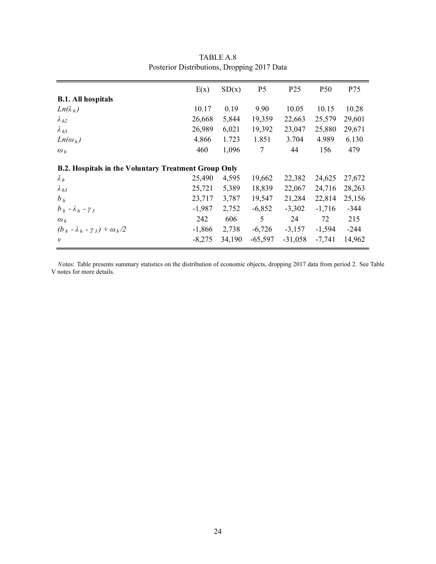<span id="page-23-0"></span>

|                                                             | E(x)     | SD(x)  | P <sub>5</sub> | P <sub>25</sub> | <b>P50</b> | P75    |
|-------------------------------------------------------------|----------|--------|----------------|-----------------|------------|--------|
| <b>B.1.</b> All hospitals                                   |          |        |                |                 |            |        |
| $Ln(\lambda_h)$                                             | 10.17    | 0.19   | 9.90           | 10.05           | 10.15      | 10.28  |
| $\lambda_{h2}$                                              | 26,668   | 5,844  | 19,359         | 22,663          | 25,579     | 29,601 |
| $\lambda_{h3}$                                              | 26,989   | 6,021  | 19,392         | 23,047          | 25,880     | 29,671 |
| $Ln(\omega_h)$                                              | 4.866    | 1.723  | 1.851          | 3.704           | 4.989      | 6.130  |
| $\omega_h$                                                  | 460      | 1,096  | 7              | 44              | 156        | 479    |
| <b>B.2. Hospitals in the Voluntary Treatment Group Only</b> |          |        |                |                 |            |        |
| $\lambda_h$                                                 | 25,490   | 4,595  | 19,662         | 22,382          | 24,625     | 27,672 |
| $\lambda_{h3}$                                              | 25,721   | 5,389  | 18,839         | 22,067          | 24,716     | 28,263 |
| $b_h$                                                       | 23,717   | 3,787  | 19,547         | 21,284          | 22,814     | 25,156 |
| $b_h - \lambda_h - \gamma_3$                                | $-1,987$ | 2,752  | $-6,852$       | $-3,302$        | $-1,716$   | $-344$ |
| $\omega_h$                                                  | 242      | 606    | 5              | 24              | 72         | 215    |
| $(b_h - \lambda_h - \gamma_3) + \omega_h/2$                 | $-1,866$ | 2,738  | $-6,726$       | $-3,157$        | $-1,594$   | $-244$ |
| $\mathcal V$                                                | $-8,275$ | 34,190 | $-65,597$      | $-31,058$       | $-7,741$   | 14,962 |

TABLE A.8 Posterior Distributions, Dropping 2017 Data

*N*otes: Table presents summary statistics on the distribution of economic objects, dropping 2017 data from period 2. See Table V notes for more details.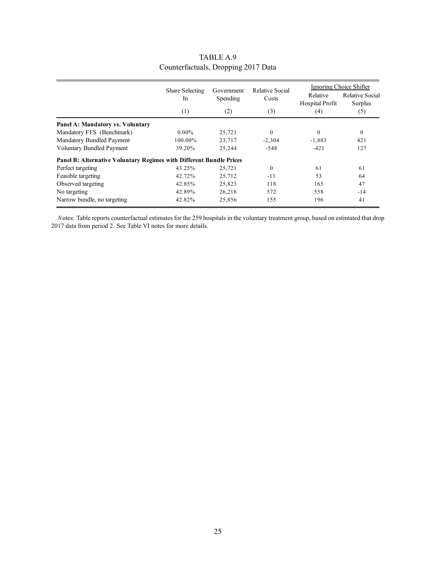<span id="page-24-0"></span>

|                                                                     | Share Selecting<br>In.<br>(1) | Government<br>Spending<br>(2) | Relative Social<br>Costs<br>(3) | Relative<br>Hospital Profit | Ignoring Choice Shifter<br>Relative Social<br>Surplus<br>(5) |
|---------------------------------------------------------------------|-------------------------------|-------------------------------|---------------------------------|-----------------------------|--------------------------------------------------------------|
|                                                                     |                               |                               |                                 | (4)                         |                                                              |
| Panel A: Mandatory vs. Voluntary                                    |                               |                               |                                 |                             |                                                              |
| Mandatory FFS (Benchmark)                                           | $0.00\%$                      | 25,721                        | $\theta$                        | $\theta$                    | $\mathbf{0}$                                                 |
| Mandatory Bundled Payment                                           | 100.00%                       | 23,717                        | $-2,304$                        | $-1,883$                    | 421                                                          |
| <b>Voluntary Bundled Payment</b>                                    | 39.20%                        | 25,244                        | $-548$                          | $-421$                      | 127                                                          |
| Panel B: Alternative Voluntary Regimes with Different Bundle Prices |                               |                               |                                 |                             |                                                              |
| Perfect targeting                                                   | 43.25%                        | 25,721                        | $\theta$                        | 61                          | 61                                                           |
| Feasible targeting                                                  | 42.72%                        | 25,712                        | $-11$                           | 53                          | 64                                                           |
| Observed targeting                                                  | 42.85%                        | 25,823                        | 118                             | 165                         | 47                                                           |
| No targeting                                                        | 42.89%                        | 26,218                        | 572                             | 558                         | $-14$                                                        |
| Narrow bundle, no targeting                                         | 42.82%                        | 25,856                        | 155                             | 196                         | 41                                                           |

#### TABLE A.9 Counterfactuals, Dropping 2017 Data

*N*otes: Table reports counterfactual estimates for the 259 hospitals in the voluntary treatment group, based on estimated that drop 2017 data from period 2. See Table VI notes for more details.